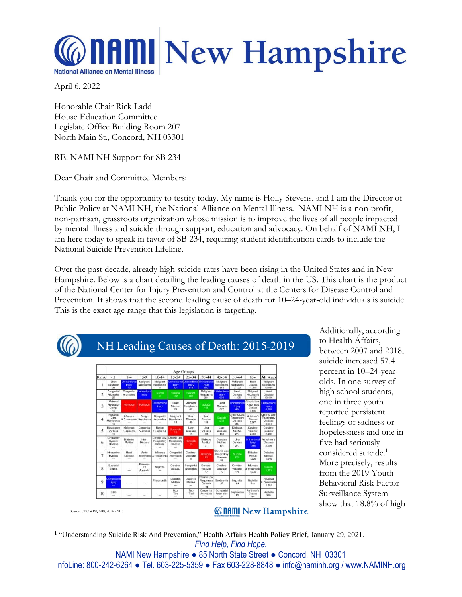## **AMI New Hampshire National Alliance on Mental Illness**

April 6, 2022

Honorable Chair Rick Ladd House Education Committee Legislate Office Building Room 207 North Main St., Concord, NH 03301

RE: NAMI NH Support for SB 234

Dear Chair and Committee Members:

Thank you for the opportunity to testify today. My name is Holly Stevens, and I am the Director of Public Policy at NAMI NH, the National Alliance on Mental Illness. NAMI NH is a non-profit, non-partisan, grassroots organization whose mission is to improve the lives of all people impacted by mental illness and suicide through support, education and advocacy. On behalf of NAMI NH, I am here today to speak in favor of SB 234, requiring student identification cards to include the National Suicide Prevention Lifeline.

Over the past decade, already high suicide rates have been rising in the United States and in New Hampshire. Below is a chart detailing the leading causes of death in the US. This chart is the product of the National Center for Injury Prevention and Control at the Centers for Disease Control and Prevention. It shows that the second leading cause of death for 10–24-year-old individuals is suicide. This is the exact age range that this legislation is targeting.



NH Leading Causes of Death: 2015-2019

|                | Age Groups                                 |                                                                                                |                                   |                                                             |                                          |                                           |                                                                         |                                                        |                                              |                                                 |                                                |
|----------------|--------------------------------------------|------------------------------------------------------------------------------------------------|-----------------------------------|-------------------------------------------------------------|------------------------------------------|-------------------------------------------|-------------------------------------------------------------------------|--------------------------------------------------------|----------------------------------------------|-------------------------------------------------|------------------------------------------------|
| Rank           | <1                                         | $1 - 4$                                                                                        | $5-9$                             | $10-14$                                                     | $15 - 24$                                | $25 - 34$                                 | $35 - 44$                                                               | $45 - 54$                                              | 55-64                                        | $65+$                                           | All Ages                                       |
|                | Short<br>Gostation<br>33                   | Uninterficce<br><b>First</b>                                                                   | Malignant<br>Necciasms            | Malksnort<br>Nocesiasms<br>11                               | <b>Injury</b><br>321                     | <b>PIERV</b><br>818                       | <b>Uninterflored Uninterflored Uninterflores</b><br><b>PBJTY</b><br>642 | Malignant<br>Neoplasms<br>866                          | Malicraent<br>Naoplasms<br>2.622             | Heart<br>Disease<br>11,250                      | Makehant<br>Neoplasms<br>13,938                |
| $\overline{c}$ | Congenital<br>Anomalias<br>29              | Anomales<br>$\sim$                                                                             | Congenital Univentional<br>Insary | Suicide<br><b>STATE</b>                                     | <b>Sainkle</b><br><b>MOV</b>             | Suicide<br>182                            | Neoplasms<br>211                                                        | Mailgnard Libritantions<br><b>Injury</b><br><b>606</b> | Heat<br>Disease<br>1,395                     | Malignant<br>Neoplasms<br>10.137                | Heart<br>Dinonse<br>13,416                     |
| 3              | Mitternal<br>Pregnancy<br>Comp.<br>15      | Homicide                                                                                       | Homicide                          | Uninterports<br><b>Fiury</b>                                | Heart<br>Disease<br>20 <sub>1</sub>      | Malignant<br>Necclasms<br>62              | Suicide<br>195                                                          | Heart<br>Disease<br>577                                | Unintentional<br><b>Injury</b><br><b>ABE</b> | Chronic Low.<br>Respiratory<br>Disease<br>3,136 | <b>Juntentiona</b><br><b>Injury</b><br>4,469   |
| 4              | Placents<br>Cord<br>Membranes<br><b>YK</b> | Influenza<br>& Pneumonial Neoplasms                                                            | Benion<br>÷                       | Congenital<br>Anomalios<br>$\sim$                           | Malignant<br>Necelasms<br>18             | Heart<br>Disease<br>AG.                   | Heart<br>Disease<br>118                                                 | Suicide<br>272                                         | Chronic Low<br>Respiratory<br>Disease<br>397 | Alzheimer's<br>Disorese<br>2,267                | Chronic Low<br>Respiratory<br>Disease<br>3.641 |
| 5              | Respiratory<br><b>Distress</b><br>TO:      | Malignant<br>Neoplasms                                                                         | Congenital<br>Anomalies           | Benign<br>Necolasms                                         | Homicide<br>14                           | Liver<br>Disease<br>15                    | Liver<br>Disease<br>68                                                  | Liver<br>Disease<br>169                                | Dishotes<br>Mellitus.<br>277                 | Carabro-<br>vascular<br>2,203                   | Carabro-<br>vascular<br>2.486                  |
| 6              | Circulatory<br>Svetem<br>Disease<br>m      | <b>Disbetes</b><br>Molitus<br>2                                                                | <b>Hoart</b><br>Disease           | Chronic Low Chronic Low<br>Respiratory<br>Disease           | Respiratory<br>Diseaso                   | <b>Homickle</b><br>-130                   | <b>Diabotos</b><br>Melitus<br>31                                        | Diabotes<br>Molitus<br>101                             | Liver<br>Disease<br>277                      | Unintentional<br>Injury<br>1.566                | Alz haimar's<br>Disease<br>2.296               |
| 7              | intrautoring<br>Hypoxia<br><b>Service</b>  | Hoart<br>Disease<br><b>Service</b>                                                             | Acuta                             | <b>Influenza</b><br>Bronchittis & Preumonia<br><b>Since</b> | Conganital<br>Anomalies<br>$\sim$        | Carabro-<br>vascular<br>11                | Homicide<br>25                                                          | Chronic Low<br>Respiratory<br>Dispase<br>81            | Subjete<br>223                               | Diabotes<br><b>Melltus</b><br>1,226             | Diabetes<br><b>Mellius</b><br>1,646            |
| 8              | Bacterial<br>Sopsis<br><b>STATE</b>        | U.                                                                                             | Diseases<br>OF<br><b>Appendix</b> | Nophritis                                                   | Carabro-<br>vascular<br><b>Selection</b> | Concerstal<br>Anomalies<br><b>Service</b> | Corobro-<br>vanci ilar<br>17                                            | Carebro-<br>vascular<br>73                             | Carabro-<br>vascular<br>175                  | Influenza<br>& Preumonia<br>1,070               | Survivia<br>1,271                              |
| $\circ$        | <b>Ininterdiziona</b><br><b>Injury</b>     | $\frac{1}{2} \left( \frac{1}{2} \right) \left( \frac{1}{2} \right) \left( \frac{1}{2} \right)$ | $\sim$                            | Pneumonitis<br>$\sim$                                       | Diabetos<br>Malitus<br>$\sim$            | Disbotes<br>Mailbus<br>÷                  | Chronic Low<br>Respiratory<br>Disease<br>16                             | Septicemia<br>36.                                      | Nophritis<br>84                              | Nephritis<br>810                                | Influenza<br><b>S</b> Presimonia<br>1.167      |
| 10             | SIDS.<br>in                                | <b>Service</b>                                                                                 | $\sim$                            | $\frac{1}{2} \left( \frac{1}{2} \right)^2$                  | Four<br>Tied<br><b>Security</b>          | Two<br>Tied<br>$\sim$                     | Congenital<br>Anomales<br>11                                            | Congerital<br>Anomalies<br>24                          | Septicamia<br>B <sub>3</sub>                 | Parkinson's<br>Disease<br>7BE                   | Nephritis<br>926                               |

Additionally, according to Health Affairs, between 2007 and 2018, suicide increased 57.4 percent in 10–24-yearolds. In one survey of high school students, one in three youth reported persistent feelings of sadness or hopelessness and one in five had seriously considered suicide.<sup>1</sup> More precisely, results from the 2019 Youth Behavioral Risk Factor Surveillance System show that 18.8% of high

Source: CDC WISQARS, 2014 -2018

## **Connul New Hampshire**

*Find Help, Find Hope.* <sup>1</sup> "Understanding Suicide Risk And Prevention," Health Affairs Health Policy Brief, January 29, 2021.

NAMI New Hampshire ● 85 North State Street ● Concord, NH 03301 InfoLine: 800-242-6264 ● Tel. 603-225-5359 ● Fax 603-228-8848 ● info@naminh.org / www.NAMINH.org